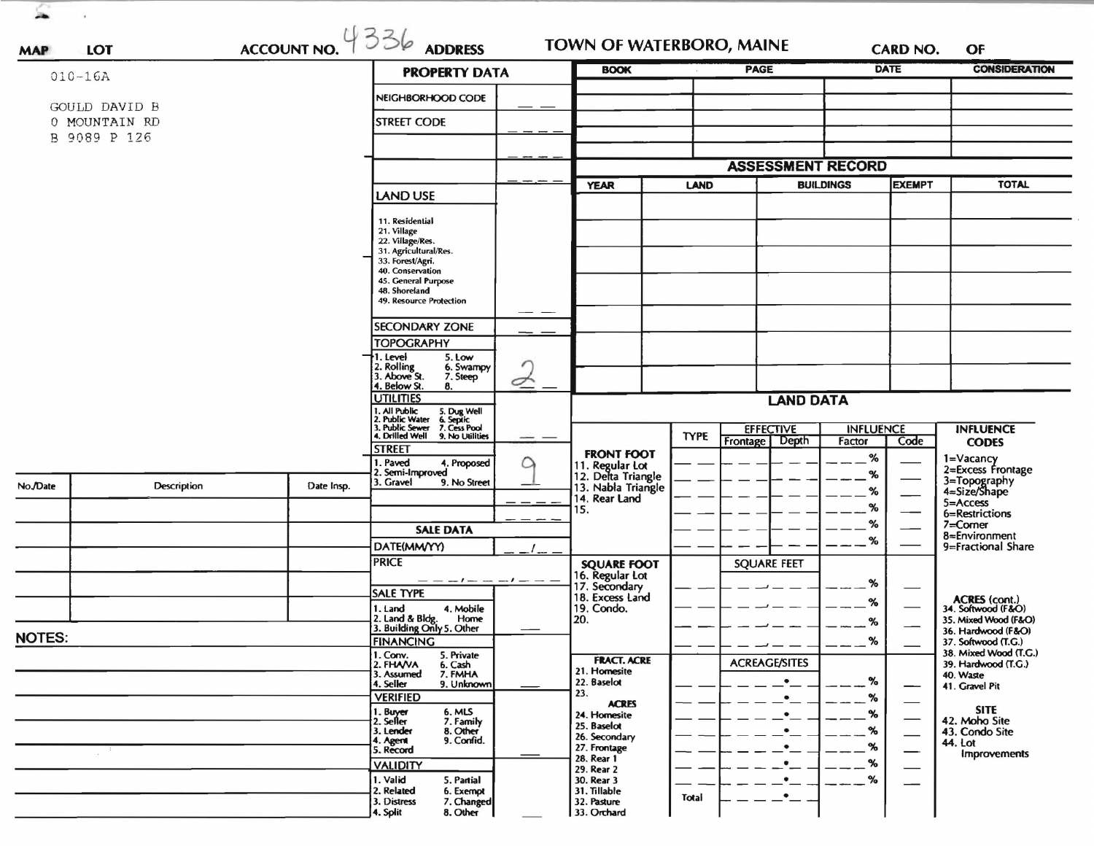| ACCOUNT NO. $4336$ ADDRESS<br>LOT<br><b>MAP</b> |                    |            |                                                                                                                           |                  | <b>TOWN OF WATERBORO, MAINE</b>                            |             |                                                               | <b>CARD NO.</b><br><b>DATE</b> |                               | OF<br><b>CONSIDERATION</b>                   |
|-------------------------------------------------|--------------------|------------|---------------------------------------------------------------------------------------------------------------------------|------------------|------------------------------------------------------------|-------------|---------------------------------------------------------------|--------------------------------|-------------------------------|----------------------------------------------|
| $010 - 16A$                                     |                    |            | <b>PROPERTY DATA</b>                                                                                                      |                  | <b>BOOK</b>                                                |             | <b>PAGE</b>                                                   |                                |                               |                                              |
|                                                 |                    |            | NEIGHBORHOOD CODE                                                                                                         |                  |                                                            |             |                                                               |                                |                               |                                              |
|                                                 | GOULD DAVID B      |            | <b>STREET CODE</b>                                                                                                        |                  |                                                            |             |                                                               |                                |                               |                                              |
| 0 MOUNTAIN RD<br>B 9089 P 126                   |                    |            |                                                                                                                           |                  |                                                            |             |                                                               |                                |                               |                                              |
|                                                 |                    |            |                                                                                                                           |                  |                                                            |             |                                                               |                                |                               |                                              |
|                                                 |                    |            |                                                                                                                           |                  | <b>ASSESSMENT RECORD</b>                                   |             |                                                               |                                |                               |                                              |
|                                                 |                    |            |                                                                                                                           |                  | <b>YEAR</b>                                                | <b>LAND</b> |                                                               | <b>BUILDINGS</b>               | <b>EXEMPT</b>                 | <b>TOTAL</b>                                 |
|                                                 |                    |            | LAND USE                                                                                                                  |                  |                                                            |             |                                                               |                                |                               |                                              |
|                                                 |                    |            | 11. Residential<br>21. Village                                                                                            |                  |                                                            |             |                                                               |                                |                               |                                              |
|                                                 |                    |            | 22. Village/Res.                                                                                                          |                  |                                                            |             |                                                               |                                |                               |                                              |
|                                                 |                    |            | 31. Agricultural/Res.<br>33. Forest/Agri.                                                                                 |                  |                                                            |             |                                                               |                                |                               |                                              |
|                                                 |                    |            | 40. Conservation<br>45. General Purpose                                                                                   |                  |                                                            |             |                                                               |                                |                               |                                              |
|                                                 |                    |            | 48. Shoreland<br>49. Resource Protection                                                                                  |                  |                                                            |             |                                                               |                                |                               |                                              |
|                                                 |                    |            |                                                                                                                           | _ _              |                                                            |             |                                                               |                                |                               |                                              |
|                                                 |                    |            | <b>SECONDARY ZONE</b>                                                                                                     |                  |                                                            |             |                                                               |                                |                               |                                              |
|                                                 |                    |            | <b>TOPOGRAPHY</b>                                                                                                         |                  |                                                            |             |                                                               |                                |                               |                                              |
|                                                 |                    |            | 1. Level<br>5. Low<br>2. Rolling<br>3. Above St.<br>6. Swampy                                                             | ╭                |                                                            |             |                                                               |                                |                               |                                              |
|                                                 |                    |            | 7. Steep<br>4. Below St.<br>8.                                                                                            |                  |                                                            |             |                                                               |                                |                               |                                              |
|                                                 |                    |            | <b>UTILITIES</b>                                                                                                          | <b>LAND DATA</b> |                                                            |             |                                                               |                                |                               |                                              |
|                                                 |                    |            | 1. All Public 5. Dug Well<br>2. Public Water 6. Septic<br>3. Public Sewer 7. Cess Pool<br>4. Drilled Well 9. No Utilities | ___              |                                                            |             |                                                               |                                |                               |                                              |
|                                                 |                    |            |                                                                                                                           |                  |                                                            | <b>TYPE</b> | <b>EFFECTIVE</b><br>Depth<br>Frontage                         | <b>INFLUENCE</b><br>Factor     | Code                          | <b>INFLUENCE</b><br><b>CODES</b>             |
|                                                 |                    |            | <b>STREET</b><br>. Paved                                                                                                  | $\circ$          | <b>FRONT FOOT</b><br>11. Regular Lot<br>12. Delta Triangle |             |                                                               | %                              |                               |                                              |
|                                                 |                    |            | 4. Proposed<br>2. Semi-Improved                                                                                           |                  |                                                            |             |                                                               | %                              |                               | 1=Vacancy<br>2=Excess Frontage               |
| No./Date                                        | <b>Description</b> | Date Insp. | 9. No Street<br>3. Gravel                                                                                                 |                  | 13. Nabla Triangle                                         |             |                                                               | %                              |                               | 3=Topography<br>4=Size/Shape                 |
|                                                 |                    |            |                                                                                                                           |                  | 14. Rear Land<br>15.                                       |             |                                                               | $\%$                           |                               | 5=Access<br>6=Restrictions                   |
|                                                 |                    |            | <b>SALE DATA</b>                                                                                                          |                  |                                                            |             |                                                               | %                              |                               | $7 =$ Corner                                 |
|                                                 |                    |            | DATE(MM/YY)                                                                                                               |                  |                                                            |             |                                                               | %                              |                               | 8=Environment<br>9=Fractional Share          |
|                                                 |                    |            | <b>PRICE</b>                                                                                                              |                  | <b>SQUARE FOOT</b>                                         |             | <b>SQUARE FEET</b>                                            |                                |                               |                                              |
|                                                 |                    |            | — — — / — — — / — — —                                                                                                     |                  | 16. Regular Lot<br>17. Secondary                           |             |                                                               | %                              |                               |                                              |
|                                                 |                    |            | <b>SALE TYPE</b>                                                                                                          |                  | 18. Excess Land                                            |             |                                                               | %                              |                               | ACRES (cont.)<br>34. Softwood (F&O)          |
|                                                 |                    |            | 1. Land<br>4. Mobile<br>Home                                                                                              |                  | 19. Condo.<br>20.                                          |             |                                                               |                                |                               | 35. Mixed Wood (F&O)                         |
|                                                 |                    |            | 2. Land & Bldg. Home<br>3. Building Only 5. Other                                                                         |                  |                                                            |             |                                                               | %                              |                               | 36. Hardwood (F&O)                           |
| NOTES:                                          |                    |            | <b>FINANCING</b><br>1. Conv.<br>5. Private                                                                                |                  |                                                            |             |                                                               | $\%$                           |                               | 37. Softwood (T.G.)<br>38. Mixed Wood (T.G.) |
|                                                 |                    |            | 2. FHAVA<br>6. Cash<br>7. FMHA<br>3. Assumed                                                                              |                  | <b>FRACT. ACRE</b><br>21. Homesite                         |             | <b>ACREAGE/SITES</b>                                          |                                |                               | 39. Hardwood (T.G.)                          |
|                                                 |                    |            | 4. Seller<br>9. Unknown                                                                                                   |                  | 22. Baselot                                                |             |                                                               | %                              | —                             | 40. Waste<br>41. Gravel Pit                  |
|                                                 |                    |            | <b>VERIFIED</b>                                                                                                           |                  | 23.<br><b>ACRES</b>                                        |             | $\bullet$                                                     | $\%$                           | $\overline{\phantom{0}}$      | <b>SITE</b>                                  |
|                                                 |                    |            | 6. MLS<br>1. Buyer<br>2. Seller<br>7. Family<br>8. Other                                                                  |                  | 24. Homesite<br>25. Baselot                                |             |                                                               | %                              | $\overbrace{\phantom{aaaaa}}$ | 42. Moho Site                                |
|                                                 |                    |            | 3. Lender<br>9. Confid.<br>4. Agent                                                                                       |                  | 26. Secondary                                              |             |                                                               | %                              | —                             | 43. Condo Site<br>44. Lot                    |
|                                                 |                    |            | 5. Record                                                                                                                 |                  | 27. Frontage<br>28. Rear 1                                 |             | $\bullet$                                                     | %                              | —                             | <b>Improvements</b>                          |
|                                                 |                    |            | <b>VALIDITY</b><br>1. Valid<br>5. Partial                                                                                 |                  | 29. Rear 2<br>30. Rear 3                                   |             | $\bullet$                                                     | %<br>℅                         |                               |                                              |
|                                                 |                    |            | 2. Related<br>6. Exempt                                                                                                   |                  | 31. Tillable                                               | Total       | $\cdot$ $\hspace{0.05cm}$<br>$\cdot$ $\overline{\phantom{a}}$ |                                |                               |                                              |
|                                                 |                    |            | 7. Changed<br>3. Distress                                                                                                 |                  | 32. Pasture                                                |             |                                                               |                                |                               |                                              |

i C